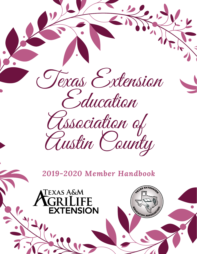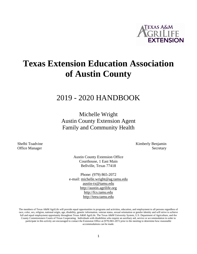

## **Texas Extension Education Association of Austin County**

### 2019 - 2020 HANDBOOK

Michelle Wright Austin County Extension Agent Family and Community Health

Shelbi Toadvine Kimberly Benjamin Office Manager Secretary

> Austin County Extension Office Courthouse, 1 East Main Bellville, Texas 77418

Phone: (979) 865-2072 e-mail: [michelle.wright@ag.tamu.edu](mailto:michelle.wright@ag.tamu.edu) [austin-tx@tamu.edu](mailto:austin-tx@tamu.edu) [http://austin.agrilife.org](http://austin.agrilife.org/) [http://fcs.tamu.edu](http://fcs.tamu.edu/) [http://teea.tamu.edu](http://teea.tamu.edu/)

The members of Texas A&M AgriLife will provide equal opportunities in programs and activities, education, and employment to all persons regardless of race, color, sex, religion, national origin, age, disability, genetic information, veteran status, sexual orientation or gender identity and will strive to achieve full and equal employment opportunity throughout Texas A&M AgriLife. The Texas A&M University System, U.S. Department of Agriculture, and the County Commissioners Courts of Texas Cooperating. Individuals with disabilities who require an auxiliary aid, service or accommodation in order to participate in this activity are encouraged to contact the Extension Office at (979) 865-2072 prior to the meeting to determine how reasonable accommodations can be made.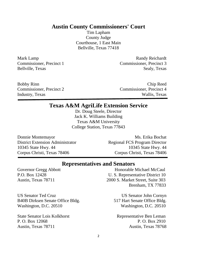#### **Austin County Commissioners' Court**

Tim Lapham County Judge Courthouse, 1 East Main Bellville, Texas 77418

Mark Lamp Randy Reichardt Commissioner, Precinct 1 Commissioner, Precinct 3 Bellville, Texas Sealy, Texas

Bobby Rinn Chip Reed Commissioner, Precinct 2 Commissioner, Precinct 4 Industry, Texas Wallis, Texas

#### **Texas A&M AgriLife Extension Service**

Dr. Doug Steele, Director Jack K. Williams Building Texas A&M University College Station, Texas 77843

Donnie Montemayor Ms. Erika Bochat District Extension Administrator Regional FCS Program Director 10345 State Hwy. 44 10345 State Hwy. 44 Corpus Christi, Texas 78406 Corpus Christi, Texas 78406

#### **Representatives and Senators**

US Senator Ted Cruz US Senator John Cornyn B40B Dirksen Senate Office Bldg. 517 Hart Senate Office Bldg. Washington, D.C. 20510 Washington, D.C. 20510

State Senator Lois Kolkhorst Representative Ben Leman P. O. Box 12068 P. O. Box 2910 Austin, Texas 78711 Austin, Texas 78768

Governor Gregg Abbott Honorable Michael McCaul P.O. Box 12428 U. S. Representative District 10 Austin, Texas 78711 2000 S. Market Street, Suite 303 Brenham, TX 77833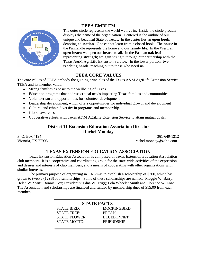#### **TEEA EMBLEM**



The outer circle represents the world we live in. Inside the circle proudly displays the name of the organization. Centered is the outline of our unique and beautiful State of Texas. In the center lies an **open book**, denoting **education**. One cannot learn from a closed book. The **house** in the Panhandle represents the home and our **family life**. In the West, an **open heart**; we open our **hearts** to all. In the East, an **oak leaf** representing **strength**; we gain strength through our partnership with the Texas A&M AgriLife Extension Service. In the lower portion, **two reaching hands**, reaching out to those who **need us**.

#### **TEEA CORE VALUES**

The core values of TEEA embody the guiding principles of the Texas A&M AgriLife Extension Service. TEEA and its member value:

- Strong families as basic to the wellbeing of Texas
- Education programs that address critical needs impacting Texas families and communities
- Volunteerism and opportunities for volunteer development
- Leadership development, which offers opportunities for individual growth and development
- Cultural and ethnic diversity in programs and membership.
- Global awareness
- Cooperative efforts with Texas A&M AgriLife Extension Service to attain mutual goals.

#### **District 11 Extension Education Association Director Rachel Monday**

P. O. Box 4194 361-649-1212 Victoria, TX 77903 rachel.monday@zoho.com

#### **TEXAS EXTENSION EDUCATION ASSOCIATION**

Texas Extension Education Association is composed of Texas Extension Education Association club members. It is a cooperative and coordinating group for the state-wide activities of the expression and desires and interests of club members, and a means of cooperating with other organizations with similar interests.

The primary purpose of organizing in 1926 was to establish a scholarship of \$200, which has grown to twelve (12) \$1000 scholarships. Some of these scholarships are named: Maggie W. Barry; Helen W. Swift; Bonnie Cox; President's; Edna W. Trigg; Lola Wheeler Smith and Florence W. Low. The Association and scholarships are financed and funded by membership dues of \$15.00 from each member.

| <b>STATE FACTS</b>   |                    |  |  |
|----------------------|--------------------|--|--|
| STATE BIRD:          | <b>MOCKINGBIRD</b> |  |  |
| <b>STATE TREE:</b>   | <b>PECAN</b>       |  |  |
| <b>STATE FLOWER:</b> | <b>BLUEBONNET</b>  |  |  |
| STATE MOTTO:         | <b>FRIENDSHIP</b>  |  |  |
|                      |                    |  |  |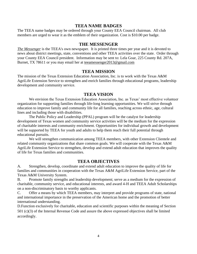#### **TEEA NAME BADGES**

The TEEA name badges may be ordered through your County EEA Council chairman. All club members are urged to wear it as the emblem of their organization. Cost is \$10.00 per badge.

#### **THE MESSENGER**

*The Messenger* is the TEEA's own newspaper. It is printed three times per year and it is devoted to news about district meetings, state, conventions and other TEEA activities over the state. Order through your County EEA Council president. Information may be sent to: Lela Goar, 225 County Rd. 207A, Burnet, TX 78611 or you may email her at [teeamessenger2013@gmail.com](mailto:teeamessenger2013@gmail.com)

#### **TEEA MISSION**

The mission of the Texas Extension Education Association, Inc. is to work with the Texas A&M AgriLife Extension Service to strengthen and enrich families through educational programs, leadership development and community service.

#### **TEEA VISION**

We envision the Texas Extension Education Association, Inc. as Texas' most effective volunteer organization for supporting families through life-long learning opportunities. We will strive through education to improve family and community life for all families, reaching across ethnic, age, cultural lines and including those with disabilities.

The Public Policy and Leadership (PPAL) program will be the catalyst for leadership development of Texas women and community service activities will be the medium for the expression of charitable interests and community enrichment. Opportunities for individual growth and development will be supported by TEEA for youth and adults to help them reach their full potential through educational pursuits.

We will strengthen communication among TEEA members, with other Extension Clientele and related community organizations that share common goals. We will cooperate with the Texas A&M AgriLife Extension Service to strengthen, develop and extend adult education that improves the quality of life for Texas families and communities.

#### **TEEA OBJECTIVES**

A. Strengthen, develop, coordinate and extend adult education to improve the quality of life for families and communities in cooperation with the Texas A&M AgriLife Extension Service, part of the Texas A&M University System.

B. Promote family strengths and leadership development; serve as a medium for the expression of charitable, community service, and educational interests, and award 4-H and TEEA Adult Scholarships on a non-discriminatory basis to worthy applicants.

C. Offer a means by which TEEA members, may interpret and provide programs of state, national and international importance in the preservation of the American home and the promotion of better international understanding.

D.Function exclusively for charitable, education and scientific purposes within the meaning of Section 501 (c)(3) of the Internal Revenue Code and assure the above expressed objectives shall be limited accordingly.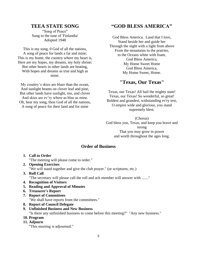#### **TEEA STATE SONG**

"Song of Peace" Sung to the tune of 'Finlandia' Adopted 1948

This is my song, 0 God of all the nations, A song of peace for lands a far and mine; This is my home, the country where my heart is, Here are my hopes, my dreams, my holy shrine; But other hearts in other lands are beating, With hopes and dreams as true and high as mine.

My country's skies are bluer than the ocean, And sunlight beams on clover leaf and pine, But other lands have sunlight, too, and clover And skies are ev'ry where as blue as mine. Oh, hear my song, thou God of all the nations, A song of peace for their land and for mine

#### **"GOD BLESS AMERICA"**

God Bless America. Land that I love, Stand beside her and guide her Through the night with a light from above From the mountains to the prairies, to the Oceans white with foam, God Bless America, My Home Sweet Home God Bless America, My Home Sweet, Home.

#### **"Texas, Our Texas"**

Texas, our Texas! All hail the mighty state! Texas, our Texas! So wonderful, so great! Boldest and grandest, withstanding ev'ry test, O empire wide and glorious, you stand supremely blest.

(Chorus) God bless you, Texas, and keep you brave and strong That you may grow in power and worth throughout the ages long.

#### **Order of Business**

**1. Call to Order**

"The meeting will please come to order."

**2. Opening Exercises**

"We will stand together and give the club prayer." (or scriptures, etc.)

**3. Roll Call**

"The secretary will please call the roll and ach member will answer with ......."

- **4. Recognition of Visitors**
- **5. Reading and Approval of Minutes**
- **6. Treasurer's Report**
- **7. Report of Committees** "We shall have reports from the committees."
- **8. Report of Council Delegate**
- **9. Unfinished Business and New Business**

"Is there any unfinished business to come before this meeting?" "Any new business."

#### **10. Program**

#### **11. Adjourn**

"This meeting is adjourned."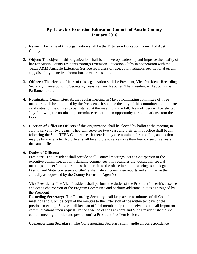#### **By-Laws for Extension Education Council of Austin County January 2016**

- 1. **Name:** The name of this organization shall be the Extension Education Council of Austin County.
- 2. **Object:** The object of this organization shall be to develop leadership and improve the quality of life for Austin County residents through Extension Education Clubs in cooperation with the Texas A&M AgriLife Extension Service regardless of race, color, religion, sex, national origin, age, disability, genetic information, or veteran status.
- 3. **Officers:** The elected officers of this organization shall be President, Vice President, Recording Secretary, Corresponding Secretary, Treasurer, and Reporter. The President will appoint the Parliamentarian.
- 4. **Nominating Committee:** At the regular meeting in May, a nominating committee of three members shall be appointed by the President. It shall be the duty of this committee to nominate candidates for the offices to be installed at the meeting in the fall. New officers will be elected in July following the nominating committee report and an opportunity for nominations from the floor.
- 5. **Election of Officers:** Officers of this organization shall be elected by ballot at the meeting in July to serve for two years. They will serve for two years and their term of office shall begin following the State TEEA Conference. If there is only one nominee for an office, an election may be by voice vote. No officer shall be eligible to serve more than four consecutive years in the same office.

#### 6. **Duties of Officers:**

President: The President shall preside at all Council meetings, act as Chairperson of the executive committee, appoint standing committees, fill vacancies that occur, call special meetings and perform other duties that pertain to the office including serving as a delegate to District and State Conferences. She/he shall file all committee reports and summarize them annually as requested by the County Extension Agent(s)

**Vice President:** The Vice President shall perform the duties of the President in her/his absence and act as chairperson of the Program Committee and perform additional duties as assigned by the President

**Recording Secretary:** The Recording Secretary shall keep accurate minutes of all Council meetings and submit a copy of the minutes to the Extension office within ten days of the previous meeting. She/he shall keep an official membership roll, receive and file all important communications upon request. In the absence of the President and Vice President she/he shall call the meeting to order and preside until a President Pro-Tem is elected.

**Corresponding Secretary:** The Corresponding Secretary shall handle all correspondence.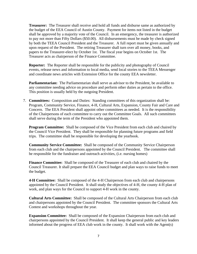**Treasurer:** The Treasurer shall receive and hold all funds and disburse same as authorized by the budget of the EEA Council of Austin County. Payment for items not listed in the budget shall be approved by a majority vote of the Council. In an emergency, the treasurer is authorized to pay not more than Fifty Dollars (\$50.00). All disbursements must be made by check signed by both the TEEA Council President and the Treasurer. A full report must be given annually and upon request of the President. The retiring Treasurer shall turn over all money, books, and papers to the Treasurer-elect by October 1st. The fiscal year begins on October 1st. The Treasurer acts as chairperson of the Finance Committee.

**Reporter:** The Reporter shall be responsible for the publicity and photography of Council events, release news and information to local media, send local stories to the TEEA Messenger and coordinate news articles with Extension Office for the county EEA newsletter.

**Parliamentarian:** The Parliamentarian shall serve as advisor to the President, be available to any committee needing advice on procedure and perform other duties as pertain to the office. This position is usually held by the outgoing President.

7. **Committees:** Composition and Duties: Standing committees of this organization shall be: Program, Community Service, Finance, 4-H, Cultural Arts, Expansion, County Fair and Care and Concern. The EEA President shall appoint other committees as needed. It is the responsibility of the Chairpersons of each committee to carry out the Committee Goals. All such committees shall serve during the term of the President who appointed them.

**Program Committee:** Shall be composed of the Vice President from each club and chaired by the Council Vice President. They shall be responsible for planning future programs and field trips. The committee shall be responsible for developing the yearbook.

**Community Service Committee:** Shall be composed of the Community Service Chairperson from each club and the chairpersons appointed by the Council President. The committee shall be responsible for the fundraiser and outreach activities, (i.e. nursing homes)

**Finance Committee:** Shall be composed of the Treasurer of each club and chaired by the Council Treasurer. It shall prepare the EEA Council budget and plan ways to raise funds to meet the budget.

**4-H Committee:** Shall be composed of the 4-H Chairperson from each club and chairpersons appointed by the Council President. It shall study the objectives of 4-H, the county 4-H plan of work, and plan ways for the Council to support 4-H work in the county.

**Cultural Arts Committee:** Shall be composed of the Cultural Arts Chairperson from each club and chairpersons appointed by the Council President. The committee sponsors the Cultural Arts Contest and workshops throughout the year.

**Expansion Committee:** Shall be composed of the Expansion Chairperson from each club and chairpersons appointed by the Council President. It shall keep the general public and key leaders informed about the progress of EEA club work in the county. It shall work with the Agent(s)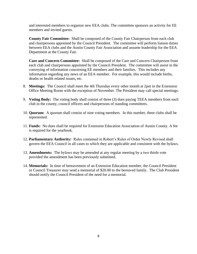and interested members to organize new EEA clubs. The committee sponsors an activity for EE members and invited guests.

**County Fair Committee:** Shall be composed of the County Fair Chairperson from each club and chairpersons appointed by the Council President. The committee will perform liaison duties between EEA clubs and the Austin County Fair Association and assume leadership for the EEA Department at the County Fair.

**Care and Concern Committee:** Shall be composed of the Care and Concern Chairperson from each club and chairpersons appointed by the Council President. The committee will assist in the conveying of information concerning EE members and their families. This includes any information regarding any news of an EEA member. For example, this would include births, deaths or health related issues, etc.

- 8. **Meetings:** The Council shall meet the 4th Thursday every other month at 2pm in the Extension Office Meeting Room with the exception of November. The President may call special meetings.
- 9. **Voting Body:** The voting body shall consist of three (3) dues paying TEEA members from each club in the county, council officers and chairpersons of standing committees.
- 10. **Quorum:** A quorum shall consist of nine voting members. In this number, three clubs shall be represented.
- 11. **Funds:** No dues shall be required for Extension Education Association of Austin County. A fee is required for the yearbook.
- 12. **Parliamentary Authority:** Rules contained in Robert's Rules of Order Newly Revised shall govern the EEA Council in all cases to which they are applicable and consistent with the bylaws.
- 13. **Amendments:** The bylaws may be amended at any regular meeting by a two thirds vote provided the amendment has been previously submitted.
- 14. **Memorials:** In time of bereavement of an Extension Education member, the Council President or Council Treasurer may send a memorial of \$20.00 to the bereaved family. The Club President should notify the Council President of the need for a memorial.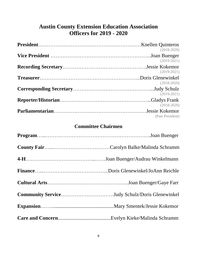### **Austin County Extension Education Association Officers for 2019 - 2020**

| $(2018 - 2020)$  |
|------------------|
| $(2019-2021)$    |
| $(2019-2021)$    |
| $(2018 - 2020)$  |
| $(2019-2021)$    |
| $(2018 - 2020)$  |
| (Past President) |

### **Committee Chairmen**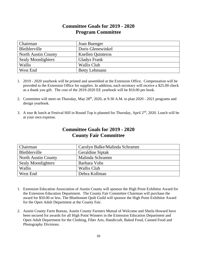#### **Committee Goals for 2019 - 2020 Program Committee**

| Chairman                   | Joan Buenger             |
|----------------------------|--------------------------|
| Bleiblerville              | Doris Glenewinkel        |
| <b>North Austin County</b> | <b>Knellen Quinteros</b> |
| <b>Sealy Moonlighters</b>  | <b>Gladys Frank</b>      |
| Wallis                     | <b>Wallis Club</b>       |
| West End                   | <b>Betty Lehmann</b>     |

- 1. 2019 2020 yearbook will be printed and assembled at the Extension Office. Compensation will be provided to the Extension Office for supplies. In addition, each secretary will receive a \$25.00 check as a thank you gift. The cost of the 2019-2020 EE yearbook will be \$10.00 per book.
- 2. Committee will meet on Thursday, May 28<sup>th</sup>, 2020, at 9:30 A.M. to plan 2020 2021 programs and design yearbook.
- 3. A tour & lunch at Festival Hill in Round Top is planned for Thursday, April  $2<sup>nd</sup>$ , 2020. Lunch will be at your own expense.

| Chairman                   | Carolyn Balke/Malinda Schramm |  |
|----------------------------|-------------------------------|--|
| <b>Bleiblerville</b>       | <b>Geraldine Siptak</b>       |  |
| <b>North Austin County</b> | Malinda Schramm               |  |
| <b>Sealy Moonlighters</b>  | Barbara Vohs                  |  |
| Wallis                     | <b>Wallis Club</b>            |  |
| West End                   | Debra Kollman                 |  |

#### **Committee Goals for 2019 - 2020 County Fair Committee**

- 1. Extension Education Association of Austin County will sponsor the High Point Exhibitor Award for the Extension Education Department. The County Fair Committee Chairman will purchase the award for \$50.00 or less. The Bluebonnet Quilt Guild will sponsor the High Point Exhibitor Award for the Open Adult Department at the County Fair.
- 2. Austin County Farm Bureau, Austin County Farmers Mutual of Welcome and Sheila Howard have been secured for awards for all High Point Winners in the Extension Education Department and Open Adult Department for the Clothing, Fiber Arts, Handicraft, Baked Food, Canned Food and Photography Divisions.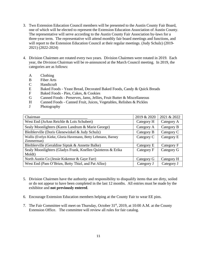- 3. Two Extension Education Council members will be presented to the Austin County Fair Board, one of which will be elected to represent the Extension Education Association of Austin County. The representative will serve according to the Austin County Fair Association by-laws for a three-year term. The representative will attend monthly fair board meetings and functions, and will report to the Extension Education Council at their regular meetings. (Judy Schulz) (2019-2021) (2022-2024)
- 4. Division Chairmen are rotated every two years. Division Chairmen were rotated in 2019. Each year, the Division Chairman will be re-announced at the March Council meeting. In 2019, the categories are as follows:
	- A Clothing
	- B Fiber Arts
	- C Handicraft
	- E Baked Foods Yeast Bread, Decorated Baked Foods, Candy & Quick Breads
	- F Baked Foods Pies, Cakes, & Cookies
	- G Canned Foods Preserves, Jams, Jellies, Fruit Butter & Miscellaneous
	- H Canned Foods Canned Fruit, Juices, Vegetables, Relishes & Pickles
	- J Photography

| Chairman                                                                   | 2019 & 2020 | 2021 & 2022 |
|----------------------------------------------------------------------------|-------------|-------------|
| West End (JoAnn Reichle & Lois Schubert)                                   | Category H  | Category A  |
| Sealy Moonlighters (Karen Landrum & Marie George)                          | Category A  | Category B  |
| Bleiblerville (Doris Glenewinkel & Judy Schulz)                            | Category B  | Category C  |
| Wallis (Evelyn Kieke, Gloria Havemann, Betty Lehmann, Barney<br>Zimmerman) | Category C  | Category E  |
| Bleiblerville (Geraldine Siptak & Annette Balke)                           | Category E  | Category F  |
| Sealy Moonlighters (Gladys Frank, Knellen Quinteros & Erika<br>Moldt)      | Category F  | Category G  |
| North Austin Co (Jessie Kokemor & Gaye Farr)                               | Category G  | Category H  |
| West End (Pam O'Brien, Betty Thiel, and Pat Allee)                         | Category J  | Category J  |

- 5. Division Chairmen have the authority and responsibility to disqualify items that are dirty, soiled or do not appear to have been completed in the last 12 months. All entries must be made by the exhibitor and **not previously entered**.
- 6. Encourage Extension Education members helping at the County Fair to wear EE pins.
- 7. The Fair Committee will meet on Thursday, October 31<sup>st</sup>, 2019, at 10:00 A.M. at the County Extension Office. The committee will review all rules for fair catalog.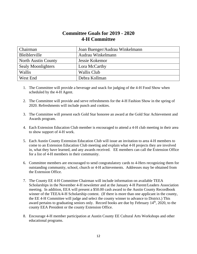#### **Committee Goals for 2019 - 2020 4-H Committee**

| Chairman                   | Joan Buenger/Audrau Winkelmann |  |
|----------------------------|--------------------------------|--|
| Bleiblerville              | Audrau Winkelmann              |  |
| <b>North Austin County</b> | Jessie Kokemor                 |  |
| <b>Sealy Moonlighters</b>  | Lora McCarthy                  |  |
| Wallis                     | <b>Wallis Club</b>             |  |
| West End                   | Debra Kollman                  |  |

- 1. The Committee will provide a beverage and snack for judging of the 4-H Food Show when scheduled by the 4-H Agent.
- 2. The Committee will provide and serve refreshments for the 4-H Fashion Show in the spring of 2020. Refreshments will include punch and cookies.
- 3. The Committee will present each Gold Star honoree an award at the Gold Star Achievement and Awards program.
- 4. Each Extension Education Club member is encouraged to attend a 4-H club meeting in their area to show support of 4-H work.
- 5. Each Austin County Extension Education Club will issue an invitation to area 4-H members to come to an Extension Education Club meeting and explain what 4-H projects they are involved in, what they have learned, and any awards received. EE members can call the Extension Office for a list of 4-H members in their community.
- 6. Committee members are encouraged to send congratulatory cards to 4-Hers recognizing them for outstanding community, school, church or 4-H achievements. Addresses may be obtained from the Extension Office.
- 7. The County EE 4-H Committee Chairman will include information on available TEEA Scholarships in the November 4-H newsletter and at the January 4-H Parent/Leaders Association meeting. In addition, EEA will present a \$50.00 cash award to the Austin County Recordbook winner of the TEEA/4-H Scholarship contest. (If there is more than one applicant in the county, the EE 4-H Committee will judge and select the county winner to advance to District.) This award pertains to graduating seniors only. Record books are due by February 14<sup>th</sup>, 2020, to the county EEA President or the county Extension Office.
- 8. Encourage 4-H member participation at Austin County EE Cultural Arts Workshops and other educational programs.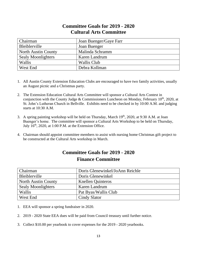#### **Committee Goals for 2019 - 2020 Cultural Arts Committee**

| Chairman                   | Joan Buenger/Gaye Farr |
|----------------------------|------------------------|
| Bleiblerville              | Joan Buenger           |
| <b>North Austin County</b> | Malinda Schramm        |
| <b>Sealy Moonlighters</b>  | Karen Landrum          |
| Wallis                     | <b>Wallis Club</b>     |
| West End                   | Debra Kollman          |

- 1. All Austin County Extension Education Clubs are encouraged to have two family activities, usually an August picnic and a Christmas party.
- 2. The Extension Education Cultural Arts Committee will sponsor a Cultural Arts Contest in conjunction with the County Judge & Commissioners Luncheon on Monday, February  $10^{th}$ , 2020, at St. John's Lutheran Church in Bellville. Exhibits need to be checked in by 10:00 A.M. and judging starts at 10:30 A.M.
- 3. A spring painting workshop will be held on Thursday, March 19<sup>th</sup>, 2020, at 9:30 A.M. at Joan Buenger's home. The committee will sponsor a Cultural Arts Workshop to be held on Thursday, July  $16<sup>th</sup>$ , 2020, at 1:00 P.M. at the Extension Office.
- 4. Chairman should appoint committee members to assist with nursing home Christmas gift project to be constructed at the Cultural Arts workshop in March.

### **Committee Goals for 2019 - 2020 Finance Committee**

| Chairman                  | Doris Glenewinkel/JoAnn Reichle |  |
|---------------------------|---------------------------------|--|
| Bleiblerville             | Doris Glenewinkel               |  |
| North Austin County       | <b>Knellen Quinteros</b>        |  |
| <b>Sealy Moonlighters</b> | Karen Landrum                   |  |
| Wallis                    | Pat Byas/Wallis Club            |  |
| West End                  | Cindy Slator                    |  |

- 1. EEA will sponsor a spring fundraiser in 2020.
- 2. 2019 2020 State EEA dues will be paid from Council treasury until further notice.
- 3. Collect \$10.00 per yearbook to cover expenses for the 2019 2020 yearbooks.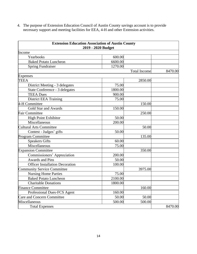4. The purpose of Extension Education Council of Austin County savings account is to provide necessary support and meeting facilities for EEA, 4-H and other Extension activities.

| <b>Extension Education Association of Austin County</b><br>2019 - 2020 Budget |         |                     |         |
|-------------------------------------------------------------------------------|---------|---------------------|---------|
| Income                                                                        |         |                     |         |
| Yearbooks                                                                     | 600.00  |                     |         |
| <b>Baked Potato Luncheon</b>                                                  | 6600.00 |                     |         |
| <b>Spring Fundraiser</b>                                                      | 1270.00 |                     |         |
|                                                                               |         | <b>Total Income</b> | 8470.00 |
| <b>Expenses</b>                                                               |         |                     |         |
| <b>TEEA</b>                                                                   |         | 2850.00             |         |
| District Meeting - 3 delegates                                                | 75.00   |                     |         |
| State Conference - 3 delegates                                                | 1800.00 |                     |         |
| <b>TEEA Dues</b>                                                              | 900.00  |                     |         |
| <b>District EEA Training</b>                                                  | 75.00   |                     |         |
| 4-H Committee                                                                 |         | 150.00              |         |
| Gold Star and Awards                                                          | 150.00  |                     |         |
| <b>Fair Committee</b>                                                         |         | 250.00              |         |
| <b>High Point Exhibitor</b>                                                   | 50.00   |                     |         |
| Miscellaneous                                                                 | 200.00  |                     |         |
| <b>Cultural Arts Committee</b>                                                |         | 50.00               |         |
| Contest - Judges' gifts                                                       | 50.00   |                     |         |
| <b>Program Committee</b>                                                      |         | 135.00              |         |
| <b>Speakers Gifts</b>                                                         | 60.00   |                     |         |
| Miscellaneous                                                                 | 75.00   |                     |         |
| <b>Expansion Committee</b>                                                    |         | 350.00              |         |
| Commissioners' Appreciation                                                   | 200.00  |                     |         |
| <b>Awards and Pins</b>                                                        | 50.00   |                     |         |
| <b>Officer Installation Decoration</b>                                        | 100.00  |                     |         |
| <b>Community Service Committee</b>                                            |         | 3975.00             |         |
| <b>Nursing Home Parties</b>                                                   | 75.00   |                     |         |
| <b>Baked Potato Luncheon</b>                                                  | 2100.00 |                     |         |
| <b>Charitable Donations</b>                                                   | 1800.00 |                     |         |
| <b>Finance Committee</b>                                                      |         | 160.00              |         |
| Professional Dues-FCS Agent                                                   | 160.00  |                     |         |
| Care and Concern Committee                                                    | 50.00   | 50.00               |         |
| Miscellaneous                                                                 | 500.00  | 500.00              |         |
| <b>Total Expenses</b>                                                         |         |                     | 8470.00 |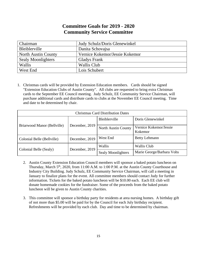#### **Committee Goals for 2019 - 2020 Community Service Committee**

| Chairman                   | Judy Schulz/Doris Glenewinkel  |  |
|----------------------------|--------------------------------|--|
| Bleiblerville              | Danita Schovajsa               |  |
| <b>North Austin County</b> | Vernice Kokemor/Jessie Kokemor |  |
| <b>Sealy Moonlighters</b>  | <b>Gladys Frank</b>            |  |
| Wallis                     | <b>Wallis Club</b>             |  |
| West End                   | Lois Schubert                  |  |

1. Christmas cards will be provided by Extension Education members. Cards should be signed "Extension Education Clubs of Austin County". All clubs are requested to bring extra Christmas cards to the September EE Council meeting. Judy Schulz, EE Community Service Chairman, will purchase additional cards and distribute cards to clubs at the November EE Council meeting. Time and date to be determined by chair.

| <b>Christmas Card Distribution Dates</b> |                |                            |                                   |
|------------------------------------------|----------------|----------------------------|-----------------------------------|
| Briarwood Manor (Bellville)              | December, 2019 | <b>Bleiblerville</b>       | Doris Glenewinkel                 |
|                                          |                | <b>North Austin County</b> | Vernice Kokemor/Jessie<br>Kokemor |
| Colonial Belle (Bellville)               | December, 2019 | West End                   | <b>Betty Lehmann</b>              |
| Colonial Belle (Sealy)                   | December, 2019 | Wallis                     | <b>Wallis Club</b>                |
|                                          |                | Sealy Moonlighters         | Marie George/Barbara Vohs         |

- 2. Austin County Extension Education Council members will sponsor a baked potato luncheon on Thursday, March  $5<sup>th</sup>$ , 2020, from 11:00 A.M. to 1:00 P.M. at the Austin County Courthouse and Industry City Building. Judy Schulz, EE Community Service Chairman, will call a meeting in January to finalize plans for the event. All committee members should contact Judy for further information. Tickets for the baked potato luncheon will be \$10.00 each. Each EE club will donate homemade cookies for the fundraiser. Some of the proceeds from the baked potato luncheon will be given to Austin County charities.
- 3. This committee will sponsor a birthday party for residents at area nursing homes. A birthday gift of not more than \$5.00 will be paid for by the Council for each July birthday recipient. Refreshments will be provided by each club. Day and time to be determined by chairman.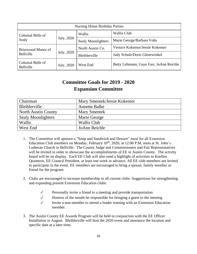| <b>Nursing Home Birthday Parties</b> |            |                    |                                         |  |
|--------------------------------------|------------|--------------------|-----------------------------------------|--|
| Colonial Belle of<br>Sealy           | July, 2020 | Wallis             | <b>Wallis Club</b>                      |  |
|                                      |            | Sealy Moonlighters | Marie George/Barbara Vohs               |  |
| Briarwood Manor of                   | July, 2020 | North Austin Co.   | Vernice Kokemor/Jessie Kokemor          |  |
| <b>Bellville</b>                     |            | Bleiblerville      | Judy Schulz/Doris Glenewinkel           |  |
| Colonial Belle of<br>Bellville       | July, 2020 | West End           | Betty Lehmann, Gaye Farr, JoAnn Reichle |  |

### **Committee Goals for 2019 - 2020 Expansion Committee**

| Chairman                   | Mary Smentek/Jessie Kokemor |
|----------------------------|-----------------------------|
| Bleiblerville              | <b>Annette Balke</b>        |
| <b>North Austin County</b> | <b>Mary Smentek</b>         |
| <b>Sealy Moonlighters</b>  | Marie George                |
| Wallis                     | <b>Wallis Club</b>          |
| West End                   | JoAnn Reichle               |

- 1. The Committee will sponsor a "Soup and Sandwich and Dessert" meal for all Extension Education Club members on Monday, February  $10^{th}$ , 2020, at 12:00 P.M. noon at St. John's Lutheran Church in Bellville. The County Judge and Commissioners and Fair Representatives will be invited in order to showcase the accomplishments of EE in Austin County. The activity board will be on display. Each EE Club will also send a highlight of activities to Knellen Quinteros, EE Council President, at least one week in advance. All EE club members are invited to participate in the event. EE members are encouraged to bring a spouse, family member or friend for the program.
- 2. Clubs are encouraged to increase membership in all current clubs. Suggestions for strengthening and expanding present Extension Education clubs:
	- $\sqrt{\phantom{a}}$  Personally invite a friend to a meeting and provide transportation
	- $\sqrt{\phantom{a}}$  Hostess of the month be responsible for bringing a guest to the meeting
	- ✓ Invite a non-member to attend a leader training with an Extension Education member.
- 3. The Austin County EE Awards Program will be held in conjunction with the EE Officer Installation in August. Bleiblerville will host the 2020 event and announce the location and specific date at a later time.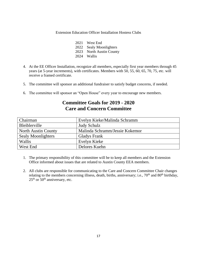Extension Education Officer Installation Hostess Clubs

- 2021 West End 2022 Sealy Moonlighters 2023 North Austin County 2024 Wallis
- 4. At the EE Officer Installation, recognize all members, especially first year members through 45 years (at 5-year increments), with certificates. Members with 50, 55, 60, 65, 70, 75, etc. will receive a framed certificate.
- 5. The committee will sponsor an additional fundraiser to satisfy budget concerns, if needed.
- 6. The committee will sponsor an "Open House" every year to encourage new members.

#### **Committee Goals for 2019 - 2020 Care and Concern Committee**

| Chairman                   | Evelyn Kieke/Malinda Schramm   |
|----------------------------|--------------------------------|
| <b>Bleiblerville</b>       | <b>Judy Schulz</b>             |
| <b>North Austin County</b> | Malinda Schramm/Jessie Kokemor |
| <b>Sealy Moonlighters</b>  | <b>Gladys Frank</b>            |
| Wallis                     | Evelyn Kieke                   |
| West End                   | Delores Kuehn                  |

- 1. The primary responsibility of this committee will be to keep all members and the Extension Office informed about issues that are related to Austin County EEA members.
- 2. All clubs are responsible for communicating to the Care and Concern Committee Chair changes relating to the members concerning illness, death, births, anniversary; i.e., 70<sup>th</sup> and 80<sup>th</sup> birthday,  $25<sup>th</sup>$  or  $50<sup>th</sup>$  anniversary, etc.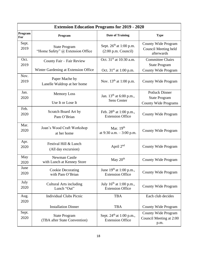|                | <b>Extension Education Programs for 2019 - 2020</b>      |                                                                 |                                                                              |
|----------------|----------------------------------------------------------|-----------------------------------------------------------------|------------------------------------------------------------------------------|
| Program<br>For | Program                                                  | <b>Date of Training</b>                                         | <b>Type</b>                                                                  |
| Sept.<br>2019  | <b>State Program</b><br>"Home Safety" @ Extension Office | Sept. $26^{th}$ at 1:00 p.m.<br>$(2:00 \text{ p.m.}$ Council)   | County Wide Program<br>Council Meeting held<br>afterwards                    |
| Oct.<br>2019   | County Fair - Fair Review                                | Oct. 31 <sup>st</sup> at 10:30 a.m.                             | <b>Committee Chairs</b><br><b>State Program</b>                              |
|                | Winter Gardening at Extension Office                     | Oct. $31^{st}$ at 1:00 p.m.                                     | County Wide Program                                                          |
| Nov.<br>2019   | Paper Mache by<br>Lanelle Waldrop at her home            | Nov. $13^{th}$ at 1:00 p.m.                                     | County Wide Program                                                          |
| Jan.<br>2020   | <b>Memory Loss</b><br>Use It or Lose It                  | Jan. 13 <sup>th</sup> at 6:00 p.m.,<br>Sens Center              | <b>Potluck Dinner</b><br><b>State Program</b><br><b>County Wide Programs</b> |
| Feb.<br>2020   | Scratch Board Art by<br>Pam O'Brian                      | Feb. $28^{th}$ at 1:00 p.m.,<br><b>Extension Office</b>         | <b>County Wide Program</b>                                                   |
| Mar.<br>2020   | Joan's Wood Craft Workshop<br>at her home                | Mar. $19th$<br>at 9:30 a.m. - 3:00 p.m.                         | County Wide Program                                                          |
| Apr.<br>2020   | Festival Hill & Lunch<br>(All day excursion)             | April $2nd$                                                     | County Wide Program                                                          |
| May<br>2020    | Newman Castle<br>with Lunch at Kenney Store              | May $20th$                                                      | County Wide Program                                                          |
| June<br>2020   | <b>Cookie Decorating</b><br>with Pam O'Brian             | June $19^{th}$ at 1:00 p.m.,<br><b>Extension Office</b>         | County Wide Program                                                          |
| July<br>2020   | <b>Cultural Arts including</b><br>Lunch "Out"            | July $16^{th}$ at 1:00 p.m.,<br><b>Extension Office</b>         | County Wide Program                                                          |
| Aug.<br>2020   | <b>Individual Clubs Picnic</b>                           | <b>TBA</b>                                                      | Each club decides                                                            |
|                | <b>Installation Dinner</b>                               | <b>TBA</b>                                                      | County Wide Program                                                          |
| Sept.<br>2020  | <b>State Program</b><br>(TBA after State Convention)     | Sept. 24 <sup>th</sup> at 1:00 p.m.,<br><b>Extension Office</b> | County Wide Program<br>Council Meeting at 2:00<br>p.m.                       |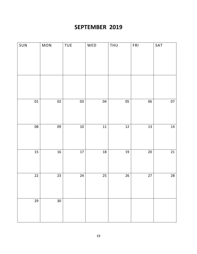### **SEPTEMBER 2019**

| SUN             | MON    | <b>TUE</b>      | WED    | THU             | FRI             | SAT             |
|-----------------|--------|-----------------|--------|-----------------|-----------------|-----------------|
|                 |        |                 |        |                 |                 |                 |
|                 |        |                 |        |                 |                 |                 |
|                 |        |                 |        |                 |                 |                 |
|                 |        |                 |        |                 |                 |                 |
|                 |        |                 |        |                 |                 |                 |
|                 |        |                 |        |                 |                 |                 |
|                 |        |                 |        |                 |                 |                 |
| 01              | 02     | 03              | 04     | $05\,$          | 06              | 07              |
|                 |        |                 |        |                 |                 |                 |
|                 |        |                 |        |                 |                 |                 |
| $\overline{08}$ | 09     | $10\,$          | $11\,$ | $\overline{12}$ | 13              | $14\,$          |
|                 |        |                 |        |                 |                 |                 |
|                 |        |                 |        |                 |                 |                 |
|                 |        |                 |        |                 |                 |                 |
| $\overline{15}$ | 16     | $\overline{17}$ | 18     | 19              | $\overline{20}$ | $\overline{21}$ |
|                 |        |                 |        |                 |                 |                 |
|                 |        |                 |        |                 |                 |                 |
| 22              | 23     | 24              | 25     | 26              | 27              | ${\bf 28}$      |
|                 |        |                 |        |                 |                 |                 |
|                 |        |                 |        |                 |                 |                 |
|                 |        |                 |        |                 |                 |                 |
| 29              | $30\,$ |                 |        |                 |                 |                 |
|                 |        |                 |        |                 |                 |                 |
|                 |        |                 |        |                 |                 |                 |
|                 |        |                 |        |                 |                 |                 |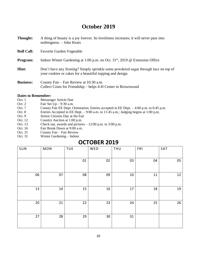### **October 2019**

| Thought:          | A thing of beauty is a joy forever. Its loveliness increases; it will never pass into<br>nothingness. - John Keats                               |
|-------------------|--------------------------------------------------------------------------------------------------------------------------------------------------|
| <b>Roll Call:</b> | <b>Favorite Garden Vegetable</b>                                                                                                                 |
| <b>Program:</b>   | Indoor Winter Gardening at 1:00 p.m. on Oct. $31st$ , 2019 @ Extension Office                                                                    |
| Hint:             | Don't have any frosting? Simply sprinkle some powdered sugar through lace on top of<br>your cookies or cakes for a beautiful topping and design. |
| <b>Business:</b>  | County Fair – Fair Review at 10:30 a.m.<br>Collect Coins for Friendship – helps 4-H Center in Brownwood                                          |

#### **Dates to Remember:**

| Oct. 1   | Messenger Article Due                                                                   |
|----------|-----------------------------------------------------------------------------------------|
| Oct. $2$ | Fair Set $Up - 9:30$ a.m.                                                               |
| Oct. 7   | County Fair EE Dept. Orientation; Entries accepted in EE Dept. – 4:00 p.m. to 6:45 p.m. |
| Oct. $8$ | Entries Accepted in EE Dept. $-9:00$ a.m. to 11:45 a.m.; Judging begins at 1:00 p.m.    |
| Oct.9    | Senior Citizens Day at the Fair                                                         |
| Oct. 12  | Country Auction at 1:00 p.m.                                                            |
|          |                                                                                         |

- Oct. 13 Check out, awards and pictures 12:00 p.m. to 3:00 p.m.
- Oct. 16 Fair Break Down at 9:00 a.m.<br>Oct. 31 County Fair Fair Review
- Oct. 31 County Fair Fair Review<br>Oct. 31 Winter Gardening Indoor
- Winter Gardening Indoor

### **OCTOBER 2019**

| SUN    | <b>MON</b> | <b>TUE</b> | WED | THU    | FRI    | SAT |
|--------|------------|------------|-----|--------|--------|-----|
|        |            | 01         | 02  | 03     | 04     | 05  |
| 06     | 07         | 08         | 09  | $10\,$ | $11\,$ | 12  |
| 13     | 14         | 15         | 16  | 17     | $18\,$ | 19  |
| $20\,$ | 21         | 22         | 23  | 24     | 25     | 26  |
| 27     | 28         | 29         | 30  | 31     |        |     |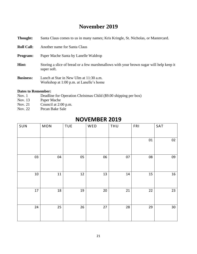### **November 2019**

| Thought:                        | Santa Claus comes to us in many names; Kris Kringle, St. Nicholas, or Mastercard.                     |
|---------------------------------|-------------------------------------------------------------------------------------------------------|
| <b>Roll Call:</b>               | Another name for Santa Claus                                                                          |
| <b>Program:</b>                 | Paper Mache Santa by Lanelle Waldrop                                                                  |
| Hint:                           | Storing a slice of bread or a few marshmallows with your brown sugar will help keep it<br>super soft. |
| <b>Business:</b>                | Lunch at Star in New Ulm at 11:30 a.m.<br>Workshop at 1:00 p.m. at Lanelle's home                     |
| $\mathbf{R}$ is $\mathbf{R}$ if |                                                                                                       |

#### **Dates to Remember:**

- Nov. 1 Deadline for Operation Christmas Child (\$9.00 shipping per box)<br>Nov. 13 Paper Mache
- Paper Mache
- Nov. 21 Council at 2:00 p.m.
- Nov. 22 Pecan Bake Sale

### **NOVEMBER 2019**

| SUN    | MON | <b>TUE</b> | WED    | THU | FRI        | SAT    |
|--------|-----|------------|--------|-----|------------|--------|
|        |     |            |        |     |            |        |
|        |     |            |        |     | 01         | 02     |
|        |     |            |        |     |            |        |
| 03     | 04  | 05         | 06     | 07  | ${\bf 08}$ | 09     |
|        |     |            |        |     |            |        |
| $10\,$ | 11  | 12         | 13     | 14  | 15         | 16     |
|        |     |            |        |     |            |        |
| $17\,$ | 18  | 19         | $20\,$ | 21  | 22         | 23     |
|        |     |            |        |     |            |        |
| 24     | 25  | 26         | 27     | 28  | 29         | $30\,$ |
|        |     |            |        |     |            |        |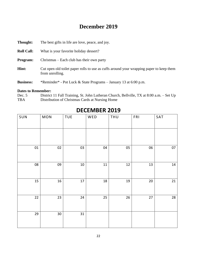### **December 2019**

| Thought:          | The best gifts in life are love, peace, and joy.                                                           |
|-------------------|------------------------------------------------------------------------------------------------------------|
| <b>Roll Call:</b> | What is your favorite holiday dessert?                                                                     |
| Program:          | Christmas – Each club has their own party                                                                  |
| Hint:             | Cut open old toilet paper rolls to use as cuffs around your wrapping paper to keep them<br>from unrolling. |
| <b>Business:</b>  | *Reminder* - Pot Luck & State Programs – January 13 at 6:00 p.m.                                           |
|                   |                                                                                                            |

#### **Dates to Remember:**

| Dec. 5     | District 11 Fall Training, St. John Lutheran Church, Bellville, TX at 8:00 a.m. – Set Up |
|------------|------------------------------------------------------------------------------------------|
| <b>TBA</b> | Distribution of Christmas Cards at Nursing Home                                          |

| SUN             | $MON$ | <b>TUE</b> | WED    | THU | FRI    | SAT    |
|-----------------|-------|------------|--------|-----|--------|--------|
|                 |       |            |        |     |        |        |
|                 |       |            |        |     |        |        |
|                 |       |            |        |     |        |        |
| $01\,$          | 02    | 03         | $04\,$ | 05  | 06     | $07\,$ |
|                 |       |            |        |     |        |        |
| 08              | 09    | $10\,$     | 11     | 12  | 13     | $14\,$ |
|                 |       |            |        |     |        |        |
| 15              | 16    | $17\,$     | 18     | 19  | $20\,$ | 21     |
|                 |       |            |        |     |        |        |
| $\overline{22}$ | 23    | 24         | 25     | 26  | 27     | 28     |
|                 |       |            |        |     |        |        |
| 29              | 30    | 31         |        |     |        |        |
|                 |       |            |        |     |        |        |

### **DECEMBER 2019**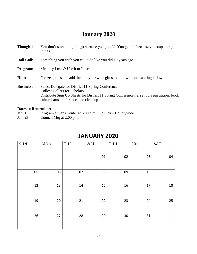### **January 2020**

| Thought:          | You don't stop doing things because you get old. You get old because you stop doing<br>things.                                                                                                                                            |
|-------------------|-------------------------------------------------------------------------------------------------------------------------------------------------------------------------------------------------------------------------------------------|
| <b>Roll Call:</b> | Something you wish you could do like you did 10 years ago.                                                                                                                                                                                |
| <b>Program:</b>   | Memory Loss & Use it or Lose it                                                                                                                                                                                                           |
| Hint:             | Freeze grapes and add them to your wine glass to chill without watering it down.                                                                                                                                                          |
| <b>Business:</b>  | Select Delegate for District 11 Spring Conference<br><b>Collect Dollars for Scholars</b><br>Distribute Sign Up Sheets for District 11 Spring Conference <i>i.e.</i> set up, registration, food,<br>cultural arts conference, and clean up |

#### **Dates to Remember:**

| Jan. 13 | Program at Sens Center at $6:00$ p.m. Potluck – Countywide |  |
|---------|------------------------------------------------------------|--|
| Jan. 23 | Council Mtg at 2:00 p.m.                                   |  |

| SUN | <b>MON</b> | <b>TUE</b> | WED | THU | FRI    | SAT    |
|-----|------------|------------|-----|-----|--------|--------|
|     |            |            |     |     |        |        |
|     |            |            | 01  | 02  | 03     | 04     |
|     |            |            |     |     |        |        |
| 05  | 06         | 07         | 08  | 09  | $10\,$ | $11\,$ |
|     |            |            |     |     |        |        |
| 12  | 13         | 14         | 15  | 16  | 17     | 18     |
|     |            |            |     |     |        |        |
| 19  | 20         | 21         | 22  | 23  | 24     | 25     |
|     |            |            |     |     |        |        |
| 26  | 27         | 28         | 29  | 30  | 31     |        |
|     |            |            |     |     |        |        |

### **JANUARY 2020**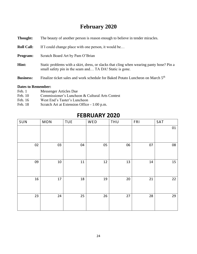### **February 2020**

| <b>Dates to Remember:</b> |                                                                                                                                                     |
|---------------------------|-----------------------------------------------------------------------------------------------------------------------------------------------------|
| <b>Business:</b>          | Finalize ticket sales and work schedule for Baked Potato Luncheon on March 5 <sup>th</sup>                                                          |
| Hint:                     | Static problems with a skirt, dress, or slacks that cling when wearing panty hose? Pin a<br>small safety pin in the seam and TA DA! Static is gone. |
| Program:                  | Scratch Board Art by Pam O'Brian                                                                                                                    |
| <b>Roll Call:</b>         | If I could change place with one person, it would be                                                                                                |
| Thought:                  | The beauty of another person is reason enough to believe in tender miracles.                                                                        |

| Feb. 1  | Messenger Articles Due                          |
|---------|-------------------------------------------------|
| Feb. 10 | Commissioner's Luncheon & Cultural Arts Contest |
| Feb. 16 | West End's Taster's Luncheon                    |
| Feb. 18 | Scratch Art at Extension Office - 1:00 p.m.     |

| SUN | <b>MON</b> | <b>TUE</b> | WED | THU | FRI | SAT    |
|-----|------------|------------|-----|-----|-----|--------|
|     |            |            |     |     |     | $01\,$ |
| 02  | 03         | 04         | 05  | 06  | 07  | 08     |
| 09  | $10\,$     | $11\,$     | 12  | 13  | 14  | 15     |
| 16  | 17         | 18         | 19  | 20  | 21  | 22     |
| 23  | 24         | 25         | 26  | 27  | 28  | 29     |

### **FEBRUARY 2020**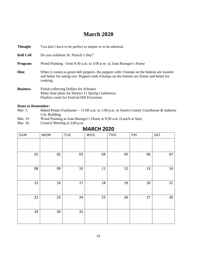### **March 2020**

| <b>Thought</b>   | You don't have to be perfect to inspire or to be admired.                                                                                                                                      |
|------------------|------------------------------------------------------------------------------------------------------------------------------------------------------------------------------------------------|
| <b>Roll Call</b> | Do you celebrate St. Patrick's Day?                                                                                                                                                            |
| Program          | Wood Painting - from 9:30 a.m. to 3:00 p.m. $\omega$ Joan Buenger's Home                                                                                                                       |
| <b>Hint</b>      | When it comes to green bell peppers- the peppers with 3 bumps on the bottom are sweeter<br>and better for eating raw. Peppers with 4 bumps on the bottom are firmer and better for<br>cooking. |
| <b>Business</b>  | Finish collecting Dollars for Scholars<br>Make final plans for District 11 Spring Conference<br>Finalize count for Festival Hill Excursion                                                     |

### **Dates to Remember:**<br>Mar. 5 **Baked**

- Baked Potato Fundraiser 11:00 a.m. to 1:00 p.m. at Austin County Courthouse & Industry City Building
- Mar. 19 Wood Painting at Joan Buenger's Home at 9:30 a.m. (Lunch at Star)
- Mar. 26 Council Meeting at 2:00 p.m.

#### **MARCH 2020**

| SUN | MON | TUE    | WED | THU | FRI    | SAT |
|-----|-----|--------|-----|-----|--------|-----|
|     |     |        |     |     |        |     |
|     |     |        |     |     |        |     |
| 01  | 02  | 03     | 04  | 05  | 06     | 07  |
|     |     |        |     |     |        |     |
| 08  | 09  | $10\,$ | 11  | 12  | 13     | 14  |
|     |     |        |     |     |        |     |
| 15  | 16  | 17     | 18  | 19  | $20\,$ | 21  |
|     |     |        |     |     |        |     |
| 22  | 23  | 24     | 25  | 26  | 27     | 28  |
|     |     |        |     |     |        |     |
| 29  | 30  | 31     |     |     |        |     |
|     |     |        |     |     |        |     |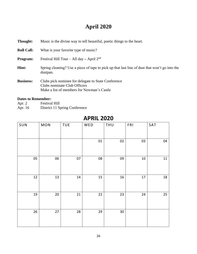### **April 2020**

| Thought:          | Music is the divine way to tell beautiful, poetic things to the heart.                                                            |
|-------------------|-----------------------------------------------------------------------------------------------------------------------------------|
| <b>Roll Call:</b> | What is your favorite type of music?                                                                                              |
| <b>Program:</b>   | Festival Hill Tour - All day - April $2nd$                                                                                        |
| Hint:             | Spring cleaning? Use a piece of tape to pick up that last line of dust that won't go into the<br>dustpan.                         |
| <b>Business:</b>  | Clubs pick nominee for delegate to State Conference<br>Clubs nominate Club Officers<br>Make a list of members for Newman's Castle |

- **Dates to Remember:**<br>Apr. 2 **Festival** Apr. 2 Festival Hill<br>Apr. 16 District 11 S
- District 11 Spring Conference

| SUN | <b>MON</b> | <b>TUE</b> | WED | <b>THU</b> | FRI    | SAT    |
|-----|------------|------------|-----|------------|--------|--------|
|     |            |            |     |            |        |        |
|     |            |            | 01  | $02\,$     | 03     | 04     |
| 05  | 06         | 07         | 08  | 09         | $10\,$ | $11\,$ |
| 12  | 13         | 14         | 15  | 16         | 17     | 18     |
| 19  | $20\,$     | 21         | 22  | 23         | 24     | 25     |
| 26  | $27\,$     | 28         | 29  | $30\,$     |        |        |

### **APRIL 2020**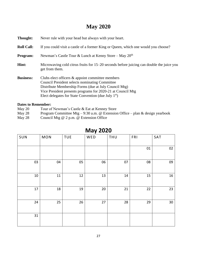### **May 2020**

| Thought:          | Never rule with your head but always with your heart.                                                                                                                                                                                                                                          |
|-------------------|------------------------------------------------------------------------------------------------------------------------------------------------------------------------------------------------------------------------------------------------------------------------------------------------|
| <b>Roll Call:</b> | If you could visit a castle of a former King or Queen, which one would you choose?                                                                                                                                                                                                             |
| Program:          | Newman's Castle Tour & Lunch at Kenny Store - May $20th$                                                                                                                                                                                                                                       |
| Hint:             | Microwaving cold citrus fruits for 15–20 seconds before juicing can double the juice you<br>get from them.                                                                                                                                                                                     |
| <b>Business:</b>  | Clubs elect officers $\&$ appoint committee members<br><b>Council President selects nominating Committee</b><br>Distribute Membership Forms (due at July Council Mtg)<br>Vice President presents programs for 2020-21 at Council Mtg<br>Elect delegates for State Convention (due July $1st$ ) |

#### **Dates to Remember:**

| May 20 | Tour of Newman's Castle & Eat at Kenney Store                                 |
|--------|-------------------------------------------------------------------------------|
| May 28 | Program Committee Mtg – 9:30 a.m. @ Extension Office – plan & design yearbook |
| May 28 | Council Mtg $@$ 2 p.m. $@$ Extension Office                                   |

| SUN    | <b>MON</b> | <b>TUE</b> | WED    | THU | FRI        | SAT    |
|--------|------------|------------|--------|-----|------------|--------|
|        |            |            |        |     | 01         | 02     |
| 03     | 04         | $05\,$     | 06     | 07  | ${\bf 08}$ | 09     |
| $10\,$ | 11         | 12         | 13     | 14  | 15         | $16\,$ |
| 17     | 18         | 19         | $20\,$ | 21  | 22         | 23     |
| 24     | 25         | 26         | 27     | 28  | 29         | $30\,$ |
| 31     |            |            |        |     |            |        |

### **May 2020**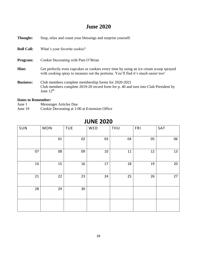### **June 2020**

| Thought:          | Stop, relax and count your blessings and surprise yourself.                                                                                                                |
|-------------------|----------------------------------------------------------------------------------------------------------------------------------------------------------------------------|
| <b>Roll Call:</b> | What's your favorite cookie?                                                                                                                                               |
| Program:          | Cookie Decorating with Pam O'Brian                                                                                                                                         |
| Hint:             | Get perfectly even cupcakes or cookies every time by using an ice cream scoop sprayed<br>with cooking spray to measure out the portions. You'll find it's much easier too! |
| <b>Business:</b>  | Club members complete membership forms for 2020-2021<br>Club members complete 2019-20 record form for p. 40 and turn into Club President by<br>June $12th$                 |

## **Dates to Remember:**<br>June 1 Messen

- Messenger Articles Due
- June 19 Cookie Decorating at 1:00 at Extension Office

| SUN | <b>MON</b> | <b>TUE</b> | WED    | THU    | FRI | SAT |
|-----|------------|------------|--------|--------|-----|-----|
|     | $01\,$     | 02         | 03     | 04     | 05  | 06  |
| 07  | 08         | 09         | $10\,$ | $11\,$ | 12  | 13  |
| 14  | 15         | 16         | $17\,$ | 18     | 19  | 20  |
| 21  | 22         | 23         | 24     | 25     | 26  | 27  |
| 28  | 29         | $30\,$     |        |        |     |     |
|     |            |            |        |        |     |     |
|     |            |            |        |        |     |     |

### **JUNE 2020**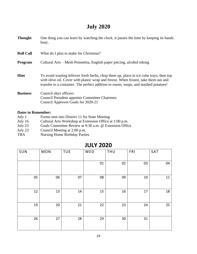### **July 2020**

| <b>Thought</b>   | One thing you can learn by watching the clock, it passes the time by keeping its hands<br>busy.                                                                                                                                                                      |
|------------------|----------------------------------------------------------------------------------------------------------------------------------------------------------------------------------------------------------------------------------------------------------------------|
| <b>Roll Call</b> | What do I plan to make for Christmas?                                                                                                                                                                                                                                |
| Program          | Cultural Arts – Mesh Poinsettia, English paper piecing, alcohol inking                                                                                                                                                                                               |
| <b>Hint</b>      | To avoid wasting leftover fresh herbs, chop them up, place in ice cube trays, then top<br>with olive oil. Cover with plastic wrap and freeze. When frozen, take them out and<br>transfer to a container. The perfect addition to roasts, soups, and mashed potatoes! |
| <b>Business</b>  | Council elect officers<br>Council President appoints Committee Chairmen<br>Council Approves Goals for 2020-21                                                                                                                                                        |

#### **Dates to Remember:**

| July 1    | Forms sent into District 11 for State Meeting           |
|-----------|---------------------------------------------------------|
| July $16$ | Cultural Arts Workshop at Extension Office at 1:00 p.m. |
| July 23   | Goals Committee Review at 9:30 a.m. @ Extension Office  |
| July 23   | Council Meeting at 2:00 p.m.                            |
|           |                                                         |

TBA Nursing Home Birthday Parties

| SUN | <b>MON</b> | <b>TUE</b> | WED | <b>THU</b> | FRI | SAT |
|-----|------------|------------|-----|------------|-----|-----|
|     |            |            | 01  | 02         | 03  | 04  |
| 05  | 06         | 07         | 08  | 09         | 10  | 11  |
| 12  | 13         | 14         | 15  | 16         | 17  | 18  |
| 19  | 20         | 21         | 22  | 23         | 24  | 25  |
| 26  | 27         | 28         | 29  | 30         | 31  |     |

### **JULY 2020**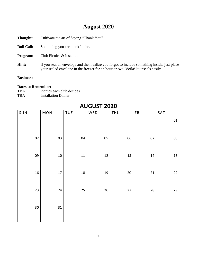### **August 2020**

**Thought:** Cultivate the art of Saying "Thank You".

**Roll Call:** Something you are thankful for.

**Program:** Club Picnics & Installation

**Hint:** If you seal an envelope and then realize you forgot to include something inside, just place your sealed envelope in the freezer for an hour or two. Voila! It unseals easily.

**Business:**

#### **Dates to Remember:**

TBA Picnics each club decides<br>TBA Installation Dinner **Installation Dinner** 

| SUN             | $\textsf{MON}{}$ | <b>TUE</b> | WED | THU    | FRI    | SAT        |
|-----------------|------------------|------------|-----|--------|--------|------------|
|                 |                  |            |     |        |        | ${\bf 01}$ |
|                 |                  |            |     |        |        |            |
| 02              | 03               | 04         | 05  | 06     | $07\,$ | ${\bf 08}$ |
|                 |                  |            |     |        |        |            |
| 09              | $10\,$           | 11         | 12  | 13     | $14\,$ | $15\,$     |
|                 |                  |            |     |        |        |            |
| 16              | 17               | 18         | 19  | $20\,$ | 21     | $22\,$     |
|                 |                  |            |     |        |        |            |
| $\overline{23}$ | 24               | 25         | 26  | 27     | 28     | 29         |
|                 |                  |            |     |        |        |            |
| 30              | 31               |            |     |        |        |            |
|                 |                  |            |     |        |        |            |

### **AUGUST 2020**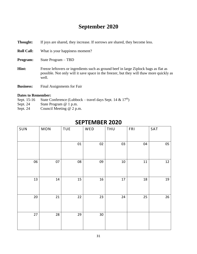### **September 2020**

| Thought:                  | If joys are shared, they increase. If sorrows are shared, they become less.                                                                                                               |
|---------------------------|-------------------------------------------------------------------------------------------------------------------------------------------------------------------------------------------|
| <b>Roll Call:</b>         | What is your happiness moment?                                                                                                                                                            |
| Program:                  | State Program – TBD                                                                                                                                                                       |
| Hint:                     | Freeze leftovers or ingredients such as ground beef in large Ziplock bags as flat as<br>possible. Not only will it save space in the freezer, but they will thaw more quickly as<br>well. |
| <b>Business:</b>          | Final Assignments for Fair                                                                                                                                                                |
| <b>Dates to Remember:</b> |                                                                                                                                                                                           |
|                           | $R_{out}$ 15 16 $R_{total}$ $C_{out}$ $C_{out}$ $T_{in}$ $L_{total}$ $L_{in}$ $L_{out}$ $R_{out}$ 14 $R_{out}$ 17th)                                                                      |

Sept. 15-16 State Conference (Lubbock – travel days Sept. 14 &  $17<sup>th</sup>$ )<br>Sept. 24 State Program @ 1 p.m.

- 
- Sept. 24 State Program @ 1 p.m.<br>Sept. 24 Council Meeting @ 2 p. Council Meeting  $@$  2 p.m.

| SUN  | <b>MON</b> | <b>TUE</b> | WED | THU    | FRI    | SAT    |
|------|------------|------------|-----|--------|--------|--------|
|      |            |            |     |        |        |        |
|      |            | $01\,$     | 02  | 03     | 04     | 05     |
|      |            |            |     |        |        |        |
| 06   | 07         | ${\bf 08}$ | 09  | $10\,$ | $11\,$ | $12\,$ |
| 13   | 14         | 15         | 16  | 17     | 18     | 19     |
| 20   | 21         | 22         | 23  | 24     | 25     | 26     |
| $27$ | 28         | 29         | 30  |        |        |        |

### **SEPTEMBER 2020**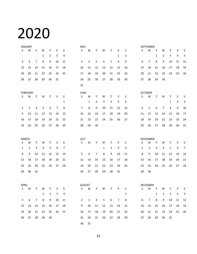# 

|                | <b>JANUARY</b>  |    |              |                |              |                | MAY            |               |                |              |             |                |              |            | SEPTEMBER       |              |                |              |                |             |
|----------------|-----------------|----|--------------|----------------|--------------|----------------|----------------|---------------|----------------|--------------|-------------|----------------|--------------|------------|-----------------|--------------|----------------|--------------|----------------|-------------|
| S              | M               | T  | W            | T              | F            | S              | S              | M             | T              | W            | T           | F              | S            | S          | M               | T            | W              | T            | F              | S           |
|                |                 |    | $\mathbf{1}$ | 2              | 3            | 4              |                |               |                |              |             | 1              | 2            |            |                 | 1            | $\overline{2}$ | 3            | 4              | 5           |
| 5              | 6               | 7  | 8            | 9              | 10           | 11             | 3              | 4             | 5              | 6            | 7           | 8              | 9            | 6          | 7               | 8            | 9              | 10           | 11             | 12          |
| 12             | 13              | 14 | 15           | 16             | 17           | 18             | 10             | 11            | 12             | 13           | 14          | 15             | 16           | 13         | 14              | 15           | 16             | 17           | 18             | 19          |
| 19             | 20              | 21 | 22           | 23             | 24           | 25             | 17             | 18            | 19             | 20           | 21          | 22             | 23           | 20         | 21              | 22           | 23             | 24           | 25             | 26          |
| 26             | 27              | 28 | 29           | 30             | 31           |                | 24             | 25            | 26             | 27           | 28          | 29             | 30           | 27         | 28              | 29           | 30             |              |                |             |
|                |                 |    |              |                |              |                | 31             |               |                |              |             |                |              |            |                 |              |                |              |                |             |
|                | <b>FEBRUARY</b> |    |              |                |              |                |                | <b>JUNE</b>   |                |              |             |                |              |            | <b>OCTOBER</b>  |              |                |              |                |             |
| S              | M               | T  | W            | T              | F            | S              | S              | M             | $\mathbf T$    | W            | T           | F              | S            | S          | M               | T            | W              | T            | F              | S           |
|                |                 |    |              |                |              | 1              |                | 1             | $\overline{2}$ | 3            | 4           | 5              | 6            |            |                 |              |                | 1            | $\overline{2}$ | 3           |
| $\overline{2}$ | 3               | 4  | 5            | 6              | 7            | 8              | 7              | 8             | 9              | 10           | 11          | 12             | 13           | 4          | 5               | 6            | $\overline{7}$ | 8            | 9              | 10          |
| 9              | 10              | 11 | 12           | 13             | 14           | 15             | 14             | 15            | 16             | 17           | 18          | 19             | 20           | 11         | 12              | 13           | 14             | 15           | 16             | 17          |
| 16             | 17              | 18 | 19           | 20             | 21           | 22             | 21             | 22            | 23             | 24           | 25          | 26             | 27           | 18         | 19              | 20           | 21             | 22           | 23             | 24          |
| 23             | 24              | 25 | 26           | 27             | 28           | 29             | 28             | 29            | 30             |              |             |                |              | 25         | 26              | 27           | 28             | 29           | 30             | 31          |
|                |                 |    |              |                |              |                |                |               |                |              |             |                |              |            |                 |              |                |              |                |             |
|                |                 |    |              |                |              |                |                |               |                |              |             |                |              |            |                 |              |                |              |                |             |
| <b>MARCH</b>   |                 |    |              |                |              |                | JULY           |               |                |              |             |                |              |            | <b>NOVEMBER</b> |              |                |              |                |             |
| S              | M               | T  | W            | T              | F            | S              | S              | M             | $\mathbf T$    | W            | T           | F              | S            | S          | M               | T            | W              | T            | F              | S           |
| 1              | $\overline{2}$  | 3  | 4            | 5              | 6            | 7              |                |               |                | $\mathbf{1}$ | 2           | 3              | 4            | 1          | 2               | 3            | 4              | 5            | 6              | 7           |
| 8              | 9               | 10 | 11           | 12             | 13           | 14             | 5              | 6             | $\overline{7}$ | 8            | 9           | 10             | 11           | 8          | 9               | 10           | 11             | 12           | 13             | 14          |
| 15             | 16              | 17 | 18           | 19             | 20           | 21             | 12             | 13            | 14             | 15           | 16          | 17             | 18           | 15         | 16              | 17           | 18             | 19           | 20             | 21          |
| 22             | 23              | 24 | 25           | 26             | 27           | 28             | 19             | 20            | 21             | 22           | 23          | 24             | 25           | 22         | 23              | 24           | 25             | 26           | 27             | 28          |
| 29             | 30              | 31 |              |                |              |                | 26             | 27            | 28             | 29           | 30          | 31             |              | 29         | 30              |              |                |              |                |             |
|                |                 |    |              |                |              |                |                |               |                |              |             |                |              |            |                 |              |                |              |                |             |
| APRIL          |                 |    |              |                |              |                |                | <b>AUGUST</b> |                |              |             |                |              |            | DECEMBER        |              |                |              |                |             |
| S              | $\mathbf M$     |    |              |                |              | T W T F S      |                | S M           |                | T W T F S    |             |                |              |            | S M             |              |                | T W T        | $\rm F$        | S.          |
|                |                 |    | $\mathbf{1}$ | $\overline{2}$ | $\mathbf{3}$ | $\overline{4}$ |                |               |                |              |             |                | $\mathbf{1}$ |            |                 | $\mathbf{1}$ | $\overline{2}$ | $\mathbf{3}$ | $\sqrt{4}$     | $\mathsf S$ |
| 5 <sub>1</sub> | $6\phantom{.}6$ |    | $7\quad 8$   | 9 <sub>o</sub> | 10           | $11\,$         |                | $2 \quad 3$   | $\overline{4}$ |              | $5\qquad 6$ | $\overline{7}$ | $\bf 8$      | $\sqrt{6}$ | $\overline{7}$  | $\bf 8$      | 9              | 10           | 11             | $12\,$      |
| 12             | 13              |    | 14 15        | 16             | 17           | 18             | 9 <sub>o</sub> | $10\,$        | 11             | 12           | 13          | 14             | 15           | 13         | 14              | 15           | 16             | 17           | 18             | 19          |
| 19             | 20              | 21 | 22           |                | 23 24        | 25             | 16             | 17            | 18             | 19           | 20          | 21             | 22           | 20         | 21              | 22           | 23             |              | 24 25          | 26          |
|                | 26 27 28 29 30  |    |              |                |              |                | 23             | 24            |                | 25 26 27     |             | 28             | 29           | 27         |                 | 28 29 30     |                | 31           |                |             |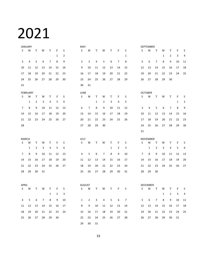# 

|                | <b>JANUARY</b>  |                  |                |                |                |              | MAY            |                |                         |                |             |       |                 |                | <b>SEPTEMBER</b> |                |             |                |                |                |
|----------------|-----------------|------------------|----------------|----------------|----------------|--------------|----------------|----------------|-------------------------|----------------|-------------|-------|-----------------|----------------|------------------|----------------|-------------|----------------|----------------|----------------|
| S              | M               | T                | W              | T              | F              | S            | S              | M              | T                       | W              | $\mathbf T$ | F     | S               | S              | M                | T              | W           | T              | F              | S              |
|                |                 |                  |                |                | 1              | 2            |                |                |                         |                |             |       | 1               |                |                  |                | 1           | 2              | 3              | 4              |
| 3              | 4               | 5                | 6              | 7              | 8              | 9            | 2              | 3              | 4                       | 5              | 6           | 7     | 8               | 5              | 6                | 7              | 8           | 9              | 10             | 11             |
| 10             | 11              | 12               | 13             | 14             | 15             | 16           | 9              | 10             | 11                      | 12             | 13          | 14    | 15              | 12             | 13               | 14             | 15          | 16             | 17             | 18             |
| 17             | 18              | 19               | 20             | 21             | 22             | 23           | 16             | 17             | 18                      | 19             | 20          | 21    | 22              | 19             | 20               | 21             | 22          | 23             | 24             | 25             |
| 24             | 25              | 26               | 27             | 28             | 29             | 30           | 23             | 24             | 25                      | 26             | 27          | 28    | 29              | 26             | 27               | 28             | 29          | 30             |                |                |
| 31             |                 |                  |                |                |                |              | 30             | 31             |                         |                |             |       |                 |                |                  |                |             |                |                |                |
|                | <b>FEBRUARY</b> |                  |                |                |                |              | <b>JUNE</b>    |                |                         |                |             |       |                 |                | <b>OCTOBER</b>   |                |             |                |                |                |
| S              | M               | T                | W              | T              | F              | S            | S              | M              | T                       | W              | T           | F     | S               | S              | M                | T              | W           | T              | F              | S              |
|                | 1               | 2                | 3              | 4              | 5              | 6            |                |                | $\mathbf{1}$            | $\overline{2}$ | 3           | 4     | 5               |                |                  |                |             |                | 1              | $\overline{2}$ |
| 7              | 8               | 9                | 10             | 11             | 12             | 13           | 6              | 7              | 8                       | 9              | 10          | 11    | 12              | 3              | 4                | 5              | 6           | 7              | 8              | 9              |
| 14             | 15              | 16               | 17             | 18             | 19             | 20           | 13             | 14             | 15                      | 16             | 17          | 18    | 19              | 10             | 11               | 12             | 13          | 14             | 15             | 16             |
| 21             | 22              | 23               | 24             | 25             | 26             | 27           | 20             | 21             | 22                      | 23             | 24          | 25    | 26              | 17             | 18               | 19             | 20          | 21             | 22             | 23             |
| 28             |                 |                  |                |                |                |              | 27             | 28             | 29                      | 30             |             |       |                 | 24             | 25               | 26             | 27          | 28             | 29             | 30             |
|                |                 |                  |                |                |                |              |                |                |                         |                |             |       |                 | 31             |                  |                |             |                |                |                |
|                |                 |                  |                |                |                |              |                |                |                         |                |             |       |                 |                |                  |                |             |                |                |                |
| <b>MARCH</b>   |                 |                  |                |                |                |              | JULY           |                |                         |                |             |       |                 |                | <b>NOVEMBER</b>  |                |             |                |                |                |
| S              | M               | T                | W              | T              | F              | S            | S              | M              | T                       | W              | T           | F     | S               | S              | M                | T              | W           | T              | F              | S              |
|                | 1               | 2                | 3              | 4              | 5              | 6            |                |                |                         |                | 1           | 2     | 3               |                | 1                | 2              | 3           | 4              | 5              | 6              |
| 7              | 8               | 9                | 10             | 11             | 12             | 13           | 4              | 5              | 6                       | 7              | 8           | 9     | 10              | 7              | 8                | 9              | 10          | 11             | 12             | 13             |
| 14             | 15              | 16               | 17             | 18             | 19             | 20           | 11             | 12             | 13                      | 14             | 15          | 16    | 17              | 14             | 15               | 16             | 17          | 18             | 19             | 20             |
| 21             | 22              | 23               | 24             | 25             | 26             | 27           | 18             | 19             | 20                      | 21             | 22          | 23    | 24              | 21             | 22               | 23             | 24          | 25             | 26             | 27             |
| 28             | 29              | 30               | 31             |                |                |              | 25             | 26             | 27                      | 28             | 29          | 30    | 31              | 28             | 29               | 30             |             |                |                |                |
|                |                 |                  |                |                |                |              |                |                |                         |                |             |       |                 |                |                  |                |             |                |                |                |
| APRIL          |                 |                  |                |                |                |              |                | <b>AUGUST</b>  |                         |                |             |       |                 |                | <b>DECEMBER</b>  |                |             |                |                |                |
| S              | M               |                  | T W            | T –            | $\mathbf{F}$   | S            | S <sub>s</sub> |                | M T W                   |                | T F         |       | S               | S.             | M                | $\mathbf{T}$   | W           | T              | F              | S.             |
|                |                 |                  |                | $\mathbf{1}$   | $\overline{2}$ | $\mathbf{3}$ |                |                |                         |                |             |       |                 |                |                  |                | $\mathbf 1$ | $\overline{2}$ | $\overline{3}$ | $\overline{4}$ |
| $\overline{4}$ | 5 <sub>1</sub>  | $\boldsymbol{6}$ | $\overline{7}$ | 8              | 9              | $10\,$       | 1              | $\overline{2}$ | $\overline{\mathbf{3}}$ |                | $4\quad 5$  | $6\,$ | $7\overline{ }$ | 5 <sub>5</sub> | $6\overline{6}$  | $\overline{7}$ | $\,8\,$     | 9              | $10\,$         | $11\,$         |
| 11             | 12              | 13               | 14             | 15             | 16             | 17           | 8              | 9              | $10\,$                  | 11             | 12          | 13    | 14              | 12             | 13               | 14             | 15          | 16             | 17             | 18             |
| 18             | 19              | 20               | 21             | 22             | 23             | 24           | 15             | 16             | 17                      | 18             | 19          | 20    | 21              | 19             | 20               | 21             | 22          |                | 23 24          | 25             |
| 25             | 26              |                  |                | 27  28  29  30 |                |              | 22             | 23             | 24                      |                | 25 26       | 27    | 28              | 26             | 27 28 29         |                |             |                | 30 31          |                |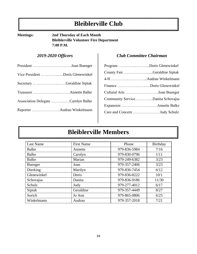### **Bleiblerville Club**

**Meetings: 2nd Thursday of Each Month Bleiblerville Volunteer Fire Department 7:00 P.M.**

#### *2019-2020 Officers*

|                                    | President Joan Buenger           |
|------------------------------------|----------------------------------|
|                                    | Vice President Doris Glenewinkel |
| Secretary Geraldine Siptak         |                                  |
|                                    |                                  |
| Association Delegate Carolyn Balke |                                  |
|                                    |                                  |

#### *Club Committee Chairman*

| Program Doris Glenewinkel         |  |
|-----------------------------------|--|
| County Fair Geraldine Siptak      |  |
|                                   |  |
| Finance Doris Glenewinkel         |  |
| Cultural Arts Joan Buenger        |  |
| Community ServiceDanita Schovajsa |  |
|                                   |  |
| Care and Concern Judy Schulz      |  |

### **Bleiblerville Members**

| <b>Last Name</b> | <b>First Name</b> | Phone        | Birthday |
|------------------|-------------------|--------------|----------|
| <b>Balke</b>     | Annette           | 979-836-5984 | 7/16     |
| <b>Balke</b>     | Carolyn           | 979-830-0796 | 1/11     |
| <b>Balke</b>     | Marian            | 979-249-6382 | 3/23     |
| <b>Buenger</b>   | Joan              | 979-357-2406 | 3/23     |
| Dierking         | Marilyn           | 979-836-7454 | 6/12     |
| Glenewinkel      | Doris             | 979-836-8222 | 10/1     |
| Schovajsa        | Danita            | 979-836-9186 | 11/30    |
| Schulz           | Judy              | 979-277-4012 | 6/17     |
| Siptak           | Geraldine         | 979-357-4449 | 8/27     |
| Sorich           | Jo Ann            | 979-865-0806 | 6/25     |
| Winkelmann       | Audrau            | 979-357-2018 | 7/21     |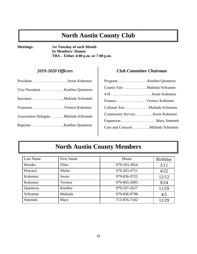### **North Austin County Club**

**Meetings: 1st Tuesday of each Month In Members' Homes TBA – Either 4:00 p.m. or 7:00 p.m.**

### *2019-2020 Officers*

| President Jessie Kokemor             |  |
|--------------------------------------|--|
|                                      |  |
|                                      |  |
|                                      |  |
| Association Delegate Malinda Schramm |  |
|                                      |  |

#### *Club Committee Chairman*

| Community ServiceJessie Kokemor |  |
|---------------------------------|--|
|                                 |  |
|                                 |  |
|                                 |  |

### **North Austin County Members**

| <b>Last Name</b> | <b>First Name</b> | Phone        | <b>Birthday</b> |
|------------------|-------------------|--------------|-----------------|
| Henske           | Ellen             | 979-203-3854 | 3/11            |
| Howard           | Sheila            | 979-203-4751 | 4/22            |
| Kokemor          | Jessie            | 979-836-9722 | 12/12           |
| Kokemor          | Vernice           | 979-865-2093 | 9/24            |
| Quinteros        | Knellen           | 979-337-4527 | 11/29           |
| Schramm          | Malinda           | 979-836-9798 | 4/5             |
| <b>Smentek</b>   | Mary              | 713-876-7102 | 12/29           |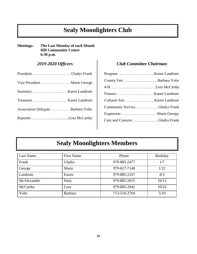### **Sealy Moonlighters Club**

#### **Meetings: The Last Monday of each Month Hill Community Center 6:30 p.m.**

#### *2019-2020 Officers*

| President Gladys Frank            |  |
|-----------------------------------|--|
|                                   |  |
|                                   |  |
|                                   |  |
| Association Delegate Barbara Vohs |  |
|                                   |  |

#### *Club Committee Chairman*

| Community ServiceGladys Frank |
|-------------------------------|
|                               |
| Care and Concern Gladys Frank |
|                               |

### **Sealy Moonlighters Members**

| Last Name   | <b>First Name</b> | Phone        | <b>Birthday</b> |
|-------------|-------------------|--------------|-----------------|
| Frank       | Gladys            | 979-885-2477 | 1/7             |
| George      | Marie             | 979-627-7148 | 1/22            |
| Landrum     | Karen             | 979-885-2107 | 8/3             |
| McAlexander | Patty             | 979-885-2015 | 10/13           |
| McCarthy    | Lora              | 979-885-2042 | 10/24           |
| Vohs        | <b>Barbara</b>    | 713-516-2704 | 5/10            |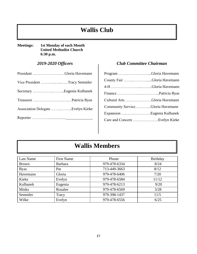### **Wallis Club**

#### **Meetings: 1st Monday of each Month United Methodist Church 6:30 p.m.**

*2019-2020 Officers*

| Vice President Tracy Semmler      |  |
|-----------------------------------|--|
| Secretary Eugenia Kulhanek        |  |
|                                   |  |
| Association Delegate Evelyn Kieke |  |
|                                   |  |

#### *Club Committee Chairman*

| Program Gloria Havemann          |  |
|----------------------------------|--|
| County Fair Gloria Havemann      |  |
|                                  |  |
|                                  |  |
| Cultural Arts Gloria Havemann    |  |
| Community ServiceGloria Havemann |  |
| Expansion Eugenia Kulhanek       |  |
|                                  |  |
|                                  |  |

### **Wallis Members**

| Last Name    | <b>First Name</b> | Phone        | Birthday |
|--------------|-------------------|--------------|----------|
| <b>Brown</b> | <b>Barbara</b>    | 979-478-6334 | 8/24     |
| <b>Byas</b>  | Pat               | 713-449-3663 | 8/12     |
| Havemann     | Gloria            | 979-478-6406 | 7/20     |
| Kieke        | Evelyn            | 979-478-6584 | 11/12    |
| Kulhanek     | Eugenia           | 979-478-6213 | 9/20     |
| <b>Minks</b> | Rosalee           | 979-478-6569 | 3/28     |
| Semmler      | Tracy             | 979-398-1437 | 11/5     |
| Wilke        | Evelyn            | 979-478-6556 | 6/25     |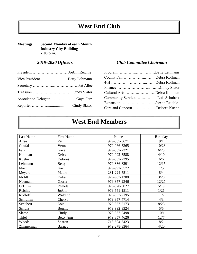### **West End Club**

#### **Meetings: Second Monday of each Month Industry City Building 7:00 p.m.**

#### *2019-2020 Officers*

| President JoAnn Reichle        |  |
|--------------------------------|--|
| Vice President Betty Lehmann   |  |
|                                |  |
|                                |  |
| Association Delegate Gaye Farr |  |
|                                |  |

#### *Club Committee Chairman*

| County Fair Debra Kollman      |  |
|--------------------------------|--|
|                                |  |
|                                |  |
| Cultural Arts Debra Kollman    |  |
| Community ServiceLois Schubert |  |
| Expansion JoAnn Reichle        |  |
| Care and Concern Delores Kuehn |  |

### **West End Members**

| <b>Last Name</b> | <b>First Name</b> | Phone        | Birthday |
|------------------|-------------------|--------------|----------|
| Allee            | Pat               | 979-865-5671 | 9/1      |
| Coufal           | Verna             | 979-966-3365 | 10/28    |
| Farr             | Gaye              | 979-357-2321 | 6/28     |
| Kollman          | Debra             | 979-992-3588 | 4/10     |
| Kuehn            | Delores           | 979-357-2295 | 6/6      |
| Lehmann          | <b>Betty</b>      | 979-836-8291 | 12/15    |
| <b>Marx</b>      | Kay               | 979-992-3572 | 1/5      |
| Meyers           | Mable             | 281-224-5511 | 8/4      |
| Moldt            | Erika             | 979-987-1208 | 3/20     |
| Neumann          | Gloria            | 979-357-2346 | 12/27    |
| O'Brian          | Pamela            | 979-820-5027 | 5/19     |
| Reichle          | JoAnn             | 979-551-1511 | 1/21     |
| Rudloff          | Waldine           | 979-357-2195 | 11/7     |
| Schramm          | Cheryl            | 979-357-4714 | 4/3      |
| Schubert         | Lois              | 979-357-2173 | 8/23     |
| Schulz           | Bonnie            | 979-992-3324 | 5/5      |
| Slator           | Cindy             | 979-357-2498 | 10/1     |
| Thiel            | <b>Betty Ann</b>  | 979-357-4626 | 12/7     |
| Woods            | Sharon            | 713-504-5423 | 8/2      |
| Zimmerman        | Barney            | 979-278-3364 | 4/20     |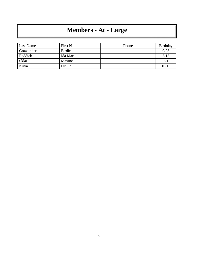### **Members - At - Large**

| Last Name        | <b>First Name</b> | Phone | <b>Birthday</b> |
|------------------|-------------------|-------|-----------------|
| <b>Grawunder</b> | <b>Birdie</b>     |       | 9/25            |
| Reddick          | Ida Mae           |       | 5/15            |
| Sklar            | Maxine            |       | 2/1             |
| Kutra            | Ursula            |       | 10/12           |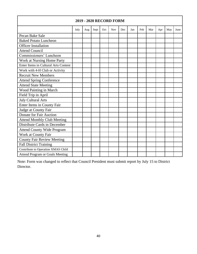| <b>2019 - 2020 RECORD FORM</b>              |      |     |      |     |            |     |     |     |     |     |     |      |
|---------------------------------------------|------|-----|------|-----|------------|-----|-----|-----|-----|-----|-----|------|
|                                             | July | Aug | Sept | Oct | <b>Nov</b> | Dec | Jan | Feb | Mar | Apr | May | June |
| Pecan Bake Sale                             |      |     |      |     |            |     |     |     |     |     |     |      |
| <b>Baked Potato Luncheon</b>                |      |     |      |     |            |     |     |     |     |     |     |      |
| <b>Officer Installation</b>                 |      |     |      |     |            |     |     |     |     |     |     |      |
| <b>Attend Council</b>                       |      |     |      |     |            |     |     |     |     |     |     |      |
| Commissioners' Luncheon                     |      |     |      |     |            |     |     |     |     |     |     |      |
| Work at Nursing Home Party                  |      |     |      |     |            |     |     |     |     |     |     |      |
| <b>Enter Items in Cultural Arts Contest</b> |      |     |      |     |            |     |     |     |     |     |     |      |
| Work with 4-H Club or Activity              |      |     |      |     |            |     |     |     |     |     |     |      |
| <b>Recruit New Members</b>                  |      |     |      |     |            |     |     |     |     |     |     |      |
| <b>Attend Spring Conference</b>             |      |     |      |     |            |     |     |     |     |     |     |      |
| <b>Attend State Meeting</b>                 |      |     |      |     |            |     |     |     |     |     |     |      |
| Wood Painting in March                      |      |     |      |     |            |     |     |     |     |     |     |      |
| Field Trip in April                         |      |     |      |     |            |     |     |     |     |     |     |      |
| <b>July Cultural Arts</b>                   |      |     |      |     |            |     |     |     |     |     |     |      |
| Enter Items in County Fair                  |      |     |      |     |            |     |     |     |     |     |     |      |
| Judge at County Fair                        |      |     |      |     |            |     |     |     |     |     |     |      |
| Donate for Fair Auction                     |      |     |      |     |            |     |     |     |     |     |     |      |
| <b>Attend Monthly Club Meeting</b>          |      |     |      |     |            |     |     |     |     |     |     |      |
| Distribute Cards in December                |      |     |      |     |            |     |     |     |     |     |     |      |
| <b>Attend County Wide Program</b>           |      |     |      |     |            |     |     |     |     |     |     |      |
| Work at County Fair                         |      |     |      |     |            |     |     |     |     |     |     |      |
| <b>County Fair Review Meeting</b>           |      |     |      |     |            |     |     |     |     |     |     |      |
| <b>Fall District Training</b>               |      |     |      |     |            |     |     |     |     |     |     |      |
| Contribute to Operation XMAS Child          |      |     |      |     |            |     |     |     |     |     |     |      |
| <b>Attend Program or Goals Meeting</b>      |      |     |      |     |            |     |     |     |     |     |     |      |

Note: Form was changed to reflect that Council President must submit report by July 15 to District Director.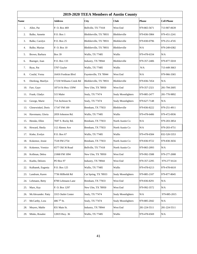| 2019-2020 TEEA Members of Austin County |                    |                         |                         |                    |              |                   |  |
|-----------------------------------------|--------------------|-------------------------|-------------------------|--------------------|--------------|-------------------|--|
| <b>Name</b>                             |                    | <b>Address</b>          | <b>City</b>             | Club               | <b>Phone</b> | <b>Cell Phone</b> |  |
| 1.                                      | Allee, Pat         | P. O. Box 469           | Bellville, TX 77418     | West End           | 979-865-5671 | 713-907-0639      |  |
| 2.                                      | Balke, Annette     | P.O. Box 1              | Bleiblerville, TX 78931 | Bleiblerville      | 979-836-5984 | 979-451-2241      |  |
| 3.                                      | Balke, Carolyn     | P.O. Box 25             | Bleiblerville, TX 78931 | Bleiblerville      | 979-830-0796 | 979-251-4745      |  |
| 4.                                      | Balke, Marian      | P. O. Box 10            | Bleiblerville, TX 78931 | Bleiblerville      | N/A          | 979-249-6382      |  |
| 5.                                      | Brown, Barbara     | <b>Box 39</b>           | Wallis, TX 77485        | Wallis             | 979-478-6334 | N/A               |  |
| 6.                                      | Buenger, Joan      | P.O. Box 133            | Industry, TX 78944      | Bleiblerville      | 979-357-2406 | 979-877-5018      |  |
| 7.                                      | Byas, Pat          | 5707 Guyler             | Wallis, TX 77485        | Wallis             | N/A          | 713-449-3663      |  |
| 8.                                      | Coufal, Verna      | 16416 Fordtran Blvd     | Fayetteville, TX 78944  | West End           | N/A          | 979-966-3365      |  |
| 9.                                      | Dierking, Marilyn  | 17230 Williams Creek Rd | Bleiblerville, TX 78931 | Bleiblerville      | 979-836-7454 | N/A               |  |
| 10.                                     | Farr, Gaye         | 18714 St Hwy 159W       | New Ulm, TX 78950       | West End           | 979-357-2321 | 281-794-2605      |  |
|                                         | 11. Frank, Gladys  | 515 Maler               | Sealy, TX 77474         | Sealy Moonlighters | 979-885-2477 | 281-770-9892      |  |
| 12.                                     | George, Marie      | 714 Atchison St.        | Sealy, TX 77474         | Sealy Moonlighters | 979-627-7148 | N/A               |  |
| 13.                                     | Glenewinkel, Doris | 17147 FM 109            | Brenham, TX 77833       | Bleiblerville      | 979-836-8222 | 979-251-4911      |  |
| 14.                                     | Havemann, Gloria   | 2059 Johnston Rd.       | Wallis, TX 77485        | Wallis             | 979-478-6406 | 979-472-0936      |  |
| 15.                                     | Henske, Ellen      | 7697 S. Rocky Rd.       | Brenham, TX 77833       | North Austin Co    | N/A          | 979-203-3854      |  |
|                                         | 16. Howard, Sheila | 112 Ahrens Ave          | Brenham, TX 77833       | North Austin Co    | N/A          | 979-203-4751      |  |
|                                         | 17. Kieke, Evelyn  | P.O. Box 67             | Wallis, TX 77485        | Wallis             | 979-478-6584 | 832-520-5353      |  |
| 18.                                     | Kokemor, Jessie    | 7518 FM 2754            | Brenham, TX 77833       | North Austin Co    | 979-836-9722 | 979-830-3656      |  |
| 19.                                     | Kokemor, Vernice   | 6577 Old 36 Road        | Bellville, TX 77418     | North Austin Co    | 979-865-2093 | N/A               |  |
|                                         | 20. Kollman, Debra | 21068 FM 1094           | New Ulm, TX 78950       | West End           | 979-992-3588 | 979-277-2008      |  |
|                                         | 21. Kuehn, Delores | PO Box 97               | Industry, TX 78944      | West End           | 979-357-2295 | 979-277-8124      |  |
| 22.                                     | Kulhanek, Eugenia  | P.O. Box 125            | Wallis, TX 77485        | Wallis             | 979-478-6213 | 979-478-6610      |  |
|                                         | 23. Landrum, Karen | 7736 Hillboldt Rd       | Cat Spring, TX 78933    | Sealy Moonlighters | 979-885-2107 | 979-877-8045      |  |
| 24.                                     | Lehmann, Betty     | 8700 Lehmann Lane       | Brenham, TX 77833       | West End           | 979-836-8291 | N/A               |  |
|                                         | 25. Marx, Kay      | P.O. Box 1297           | New Ulm, TX 78950       | West End           | 979-992-3572 | N/A               |  |
| 26.                                     | McAlexander. Patty | 3315 Outlet Center      | Sealy, TX 77474         | Sealy Moonlighters | N/A          | 979-885-2015      |  |
| 27.                                     | McCarthy, Lora     | 406 7 <sup>th</sup> St. | Sealy, TX 77474         | Sealy Moonlighters | 979-885-2042 | N/A               |  |
| 28.                                     | Meyers, Mable      | 831 Main St.            | Industry, TX 78944      | West End           | 281-224-5511 | 281-224-5511      |  |
| 29.                                     | Minks, Rosalee     | 12819 Hwy. 36           | Wallis, TX 77485        | Wallis             | 979-478-6569 | N/A               |  |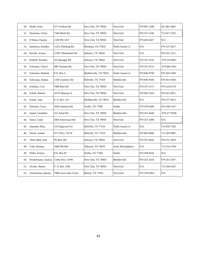|     | 30. Moldt, Erika      | 557 Fordtran Rd        | New Ulm, TX 78950       | West End           | 979-987-1208 | 281-881-4981 |
|-----|-----------------------|------------------------|-------------------------|--------------------|--------------|--------------|
|     | 31. Neumann, Gloria   | 7340 Mieth Rd.         | New Ulm, TX 78950       | West End           | 979-357-2346 | 713-817-1592 |
|     | 32. O'Brian, Pamela   | 1169 FM 1457           | New Ulm, TX 78950       | West End           | 979-820-5027 | N/A          |
| 33. | Quinteros, Knellen    | 11251 Dierking Rd.     | Brenham, TX 77833       | North Austin Co    | N/A          | 979-337-4527 |
| 34. | Reichle, JoAnn        | 12395 Thielemann Rd.   | Industry, TX 78944      | West End           | N/A          | 979-551-1511 |
|     | 35. Rudloff, Waldine  | 351 Buenger Rd.        | Industry, TX 78944      | West End           | 979-357-2195 | 979-525-9051 |
| 36. | Schramm, Cheryl       | 688 Tiemann Rd.        | New Ulm, TX 78950       | West End           | 979-357-4714 | 979-885-9361 |
| 37. | Schramm, Malinda      | P.O. Box 4             | Bleiblerville, TX 78931 | North Austin Co    | 979-836-9798 | 979-203-5589 |
| 38. | Schovajsa, Danita     | 1359 Cemetery Rd       | Bellville, TX 77418     | Bleiblerville      | 979-836-9186 | 979-451-0546 |
| 39. | Schubert, Lois        | 7688 Rinn Rd           | New Ulm, TX 78950       | West End           | 979-357-2173 | 979-224-6178 |
| 40. | Schulz, Bonnie        | 24745 Bastrop St       | New Ulm, TX 78950       | West End           | 979-992-3324 | 979-451-0951 |
| 41. | Schulz, Judy          | P. O. Box 116          | Bleiblerville, TX 78931 | Bleiblerville      | N/A          | 979-277-4012 |
| 42. | Semmler, Tracy        | 2059 Johnston Rd.      | Wallis, TX 77485        | Wallis             | 979-478-6406 | 979-398-1437 |
| 43. | Siptak, Geraldine     | 551 Zettel Rd.         | New Ulm, TX 78950       | Bleiblerville      | 979-357-4449 | 979-277-8599 |
| 44. | Slator, Cindy         | 2064 Eckermann Rd.     | New Ulm, TX 78950       | West End           | 979-357-2498 | N/A          |
| 45. | Smentek, Mary         | 155 Dogwood Trl        | Bellville, TX 77418     | North Austin Co    | N/A          | 713-876-7102 |
| 46. | Sorich, Joanne        | 6173 Hwy 159 W         | Bellville, TX 77418     | Bleiblerville      | 979-865-0806 | 713-205-0985 |
| 47. | Thiel, Betty Ann      | PO Box 305             | Industry, TX 78944      | West End           | 979-357-4626 | 979-251-4959 |
| 48. | Vohs, Barbara         | 1668 FM 949            | Alleyton, TX 78935      | Sealy Moonlighters | N/A          | 713-516-2704 |
| 49. | Wilke, Evelyn         | P.O. Box 87            | Wallis, TX 77485        | Wallis             | 979-478-6556 | N/A          |
| 50. | Winkelmann, Audrau    | 15442 Hwy 159W         | New Ulm, TX 78950       | Bleiblerville      | 979-357-2018 | 979-451-2437 |
| 51. | Woods, Sharon         | P.O. Box 1288          | New Ulm, TX 78950       | West End           | N/A          | 713-504-5423 |
|     | 52. Zimmerman, Barney | 7080 Great Oaks Circle | Burton, TX 77835        | West End           | 979-278-3364 | N/A          |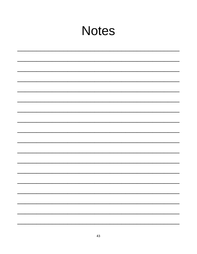## **Notes**

| - |  |  |
|---|--|--|
|   |  |  |
|   |  |  |
|   |  |  |
|   |  |  |
|   |  |  |
|   |  |  |
| - |  |  |
|   |  |  |
|   |  |  |
|   |  |  |
|   |  |  |
|   |  |  |
|   |  |  |